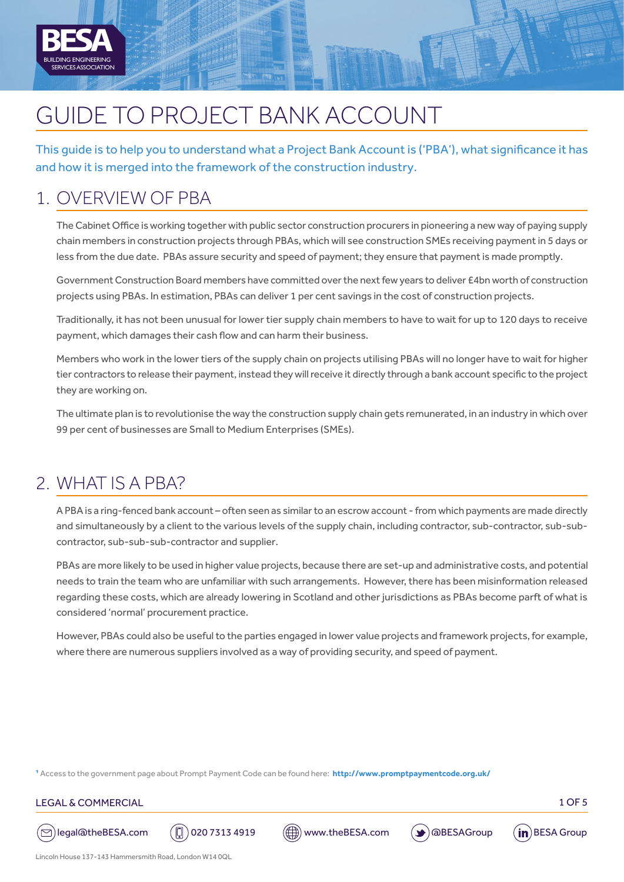

# GUIDE TO PROJECT BANK ACCOUNT

This guide is to help you to understand what a Project Bank Account is ('PBA'), what significance it has and how it is merged into the framework of the construction industry.

### 1. OVERVIEW OF PBA

The Cabinet Office is working together with public sector construction procurers in pioneering a new way of paying supply chain members in construction projects through PBAs, which will see construction SMEs receiving payment in 5 days or less from the due date. PBAs assure security and speed of payment; they ensure that payment is made promptly.

Government Construction Board members have committed over the next few years to deliver £4bn worth of construction projects using PBAs. In estimation, PBAs can deliver 1 per cent savings in the cost of construction projects.

Traditionally, it has not been unusual for lower tier supply chain members to have to wait for up to 120 days to receive payment, which damages their cash flow and can harm their business.

Members who work in the lower tiers of the supply chain on projects utilising PBAs will no longer have to wait for higher tier contractors to release their payment, instead they will receive it directly through a bank account specific to the project they are working on.

The ultimate plan is to revolutionise the way the construction supply chain gets remunerated, in an industry in which over 99 per cent of businesses are Small to Medium Enterprises (SMEs).

### 2. WHAT IS A PBA?

A PBA is a ring-fenced bank account – often seen as similar to an escrow account - from which payments are made directly and simultaneously by a client to the various levels of the supply chain, including contractor, sub-contractor, sub-subcontractor, sub-sub-sub-contractor and supplier.

PBAs are more likely to be used in higher value projects, because there are set-up and administrative costs, and potential needs to train the team who are unfamiliar with such arrangements. However, there has been misinformation released regarding these costs, which are already lowering in Scotland and other jurisdictions as PBAs become parft of what is considered 'normal' procurement practice.

However, PBAs could also be useful to the parties engaged in lower value projects and framework projects, for example, where there are numerous suppliers involved as a way of providing security, and speed of payment.

1 Access to the government page about Prompt Payment Code can be found here: **<http://www.promptpaymentcode.org.uk/>**

#### LEGAL & COMMERCIAL 2008 PRESENTED A 2008 PRESENTED A 2008 PRESENTED A 2008 PRESENTED A 2008 PRESENTED A 2008 P









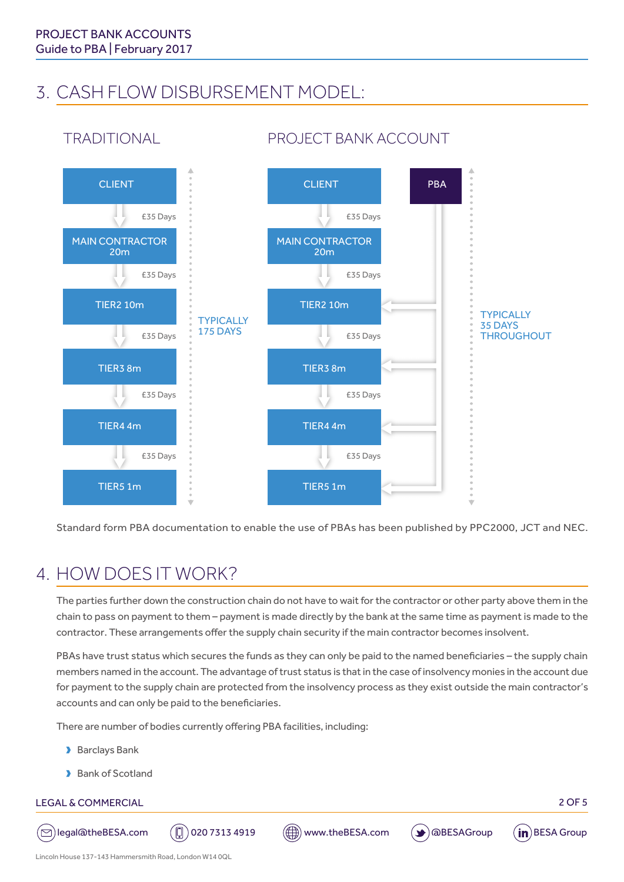TRADITIONAL

### 3. CASH FLOW DISBURSEMENT MODEL:



### PROJECT BANK ACCOUNT

Standard form PBA documentation to enable the use of PBAs has been published by PPC2000, JCT and NEC.

### 4. HOW DOES IT WORK?

The parties further down the construction chain do not have to wait for the contractor or other party above them in the chain to pass on payment to them – payment is made directly by the bank at the same time as payment is made to the contractor. These arrangements offer the supply chain security if the main contractor becomes insolvent.

PBAs have trust status which secures the funds as they can only be paid to the named beneficiaries – the supply chain members named in the account. The advantage of trust status is that in the case of insolvency monies in the account due for payment to the supply chain are protected from the insolvency process as they exist outside the main contractor's accounts and can only be paid to the beneficiaries.

There are number of bodies currently offering PBA facilities, including:

- **D** Barclays Bank
- Bank of Scotland

#### LEGAL & COMMERCIAL 2 OF 5





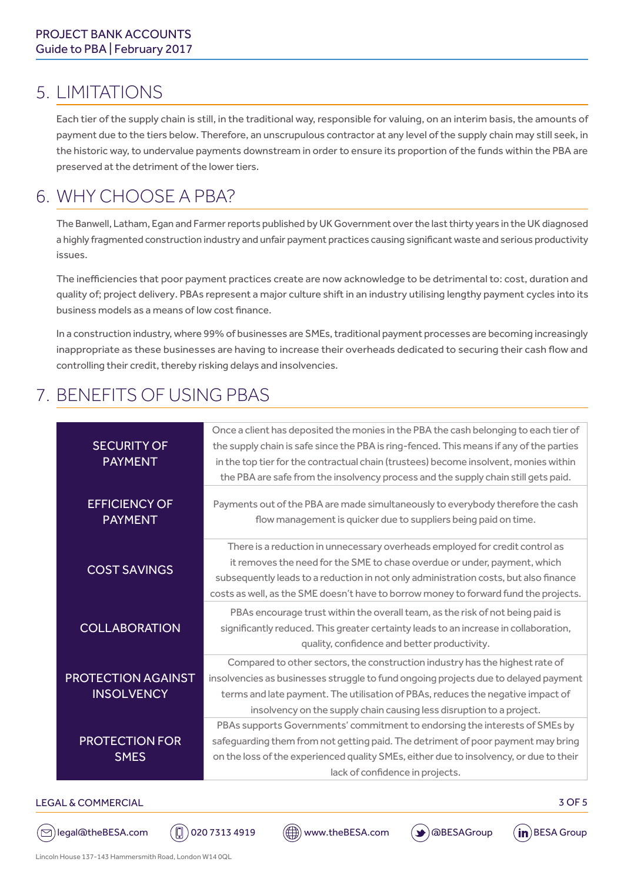### 5. LIMITATIONS

Each tier of the supply chain is still, in the traditional way, responsible for valuing, on an interim basis, the amounts of payment due to the tiers below. Therefore, an unscrupulous contractor at any level of the supply chain may still seek, in the historic way, to undervalue payments downstream in order to ensure its proportion of the funds within the PBA are preserved at the detriment of the lower tiers.

### 6. WHY CHOOSE A PBA?

The Banwell, Latham, Egan and Farmer reports published by UK Government over the last thirty years in the UK diagnosed a highly fragmented construction industry and unfair payment practices causing significant waste and serious productivity issues.

The inefficiencies that poor payment practices create are now acknowledge to be detrimental to: cost, duration and quality of; project delivery. PBAs represent a major culture shift in an industry utilising lengthy payment cycles into its business models as a means of low cost finance.

In a construction industry, where 99% of businesses are SMEs, traditional payment processes are becoming increasingly inappropriate as these businesses are having to increase their overheads dedicated to securing their cash flow and controlling their credit, thereby risking delays and insolvencies.

## 7. BENEFITS OF USING PBAS

| <b>SECURITY OF</b><br><b>PAYMENT</b>           | Once a client has deposited the monies in the PBA the cash belonging to each tier of<br>the supply chain is safe since the PBA is ring-fenced. This means if any of the parties<br>in the top tier for the contractual chain (trustees) become insolvent, monies within<br>the PBA are safe from the insolvency process and the supply chain still gets paid. |
|------------------------------------------------|---------------------------------------------------------------------------------------------------------------------------------------------------------------------------------------------------------------------------------------------------------------------------------------------------------------------------------------------------------------|
| <b>EFFICIENCY OF</b><br><b>PAYMENT</b>         | Payments out of the PBA are made simultaneously to everybody therefore the cash<br>flow management is quicker due to suppliers being paid on time.                                                                                                                                                                                                            |
| <b>COST SAVINGS</b>                            | There is a reduction in unnecessary overheads employed for credit control as<br>it removes the need for the SME to chase overdue or under, payment, which<br>subsequently leads to a reduction in not only administration costs, but also finance<br>costs as well, as the SME doesn't have to borrow money to forward fund the projects.                     |
| <b>COLLABORATION</b>                           | PBAs encourage trust within the overall team, as the risk of not being paid is<br>significantly reduced. This greater certainty leads to an increase in collaboration,<br>quality, confidence and better productivity.                                                                                                                                        |
| <b>PROTECTION AGAINST</b><br><b>INSOLVENCY</b> | Compared to other sectors, the construction industry has the highest rate of<br>insolvencies as businesses struggle to fund ongoing projects due to delayed payment<br>terms and late payment. The utilisation of PBAs, reduces the negative impact of<br>insolvency on the supply chain causing less disruption to a project.                                |
| <b>PROTECTION FOR</b><br><b>SMES</b>           | PBAs supports Governments' commitment to endorsing the interests of SMEs by<br>safeguarding them from not getting paid. The detriment of poor payment may bring<br>on the loss of the experienced quality SMEs, either due to insolvency, or due to their<br>lack of confidence in projects.                                                                  |

#### LEGAL & COMMERCIAL 3 OF 5

( $\odot$ )legal@theBESA.com ( $\Box$ ) 020 7313 4919 ( $\Box$ ) www.theBESA.com ( $\blacktriangleright$ ) @BESAGroup (in)BESA Group

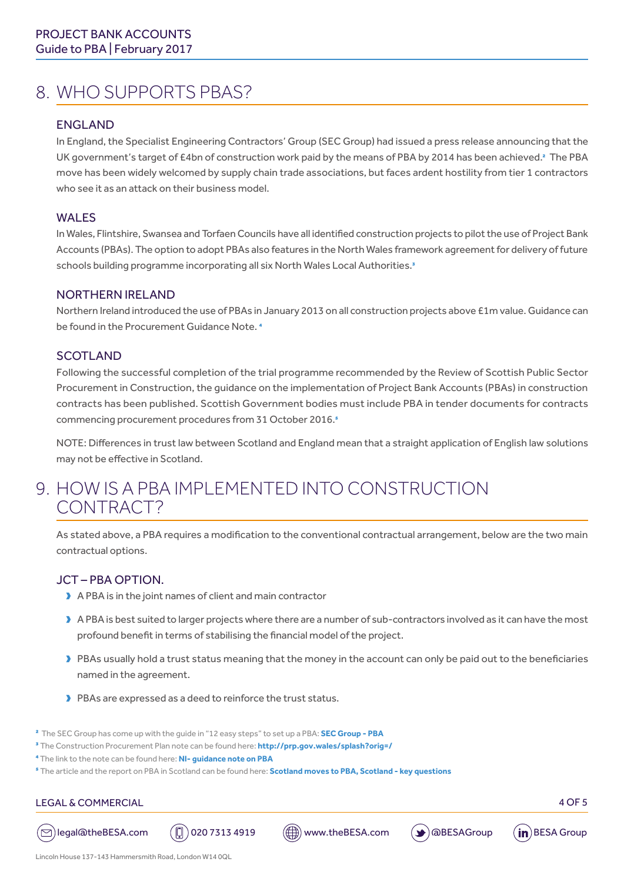### 8. WHO SUPPORTS PBAS?

### ENGLAND

In England, the Specialist Engineering Contractors' Group (SEC Group) had issued a press release announcing that the UK government's target of £4bn of construction work paid by the means of PBA by 2014 has been achieved.<sup>2</sup> The PBA move has been widely welcomed by supply chain trade associations, but faces ardent hostility from tier 1 contractors who see it as an attack on their business model.

### WALES

In Wales, Flintshire, Swansea and Torfaen Councils have all identified construction projects to pilot the use of Project Bank Accounts (PBAs). The option to adopt PBAs also features in the North Wales framework agreement for delivery of future schools building programme incorporating all six North Wales Local Authorities.<sup>3</sup>

#### NORTHERN IRELAND

Northern Ireland introduced the use of PBAs in January 2013 on all construction projects above £1m value. Guidance can be found in the Procurement Guidance Note. 4

#### **SCOTLAND**

Following the successful completion of the trial programme recommended by the Review of Scottish Public Sector Procurement in Construction, the guidance on the implementation of Project Bank Accounts (PBAs) in construction contracts has been published. Scottish Government bodies must include PBA in tender documents for contracts commencing procurement procedures from 31 October 2016.<sup>5</sup>

NOTE: Differences in trust law between Scotland and England mean that a straight application of English law solutions may not be effective in Scotland.

### 9. HOW IS A PBA IMPLEMENTED INTO CONSTRUCTION CONTRACT?

As stated above, a PBA requires a modification to the conventional contractual arrangement, below are the two main contractual options.

### JCT – PBA OPTION.

- $\blacktriangleright$  A PBA is in the joint names of client and main contractor
- A PBA is best suited to larger projects where there are a number of sub-contractors involved as it can have the most profound benefit in terms of stabilising the financial model of the project.
- PBAs usually hold a trust status meaning that the money in the account can only be paid out to the beneficiaries named in the agreement.
- Dubbara PBAs are expressed as a deed to reinforce the trust status.

2 The SEC Group has come up with the guide in "12 easy steps" to set up a PBA: **[SEC Group - PBA](http://secgroup.org.uk/cashflow/project-bank-accounts/12-easy-steps-in-setting-up-a-project-bank-account-pba/)**

- 3 The Construction Procurement Plan note can be found here: **[http://prp.gov.wales/splash?orig=/](http://prp.gov.wales/?lang=en)**
- 4 The link to the note can be found here: **[NI- guidance note on PBA](https://www.finance-ni.gov.uk/publications/procurement-guidance-note-0314-construction-works-procurement-project-bank-accounts)**
- 5 The article and the report on PBA in Scotland can be found here: **[Scotland moves to PBA,](http://www.theconstructionindex.co.uk/news/view/scotland-moves-to-project-bank-accounts) [Scotland key questions](https://www.macroberts.com/wp-content/uploads/2016/10/Project-Bank-Accounts-in-Scotland-15-Key-Questions.pdf)**

#### LEGAL & COMMERCIAL 4 OF 5